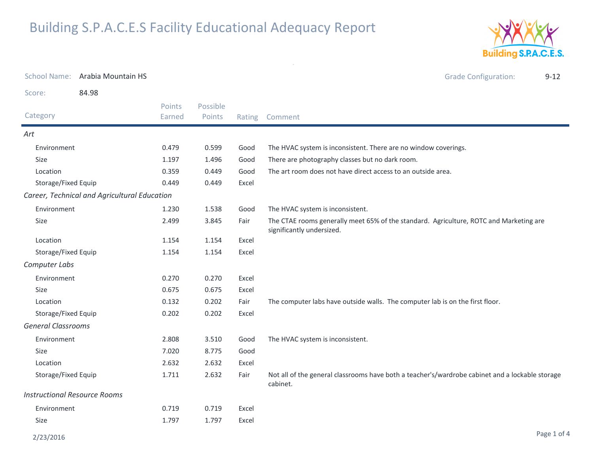

|                                     | School Name: Arabia Mountain HS              |                  |                    |       |                                                                                                                     | <b>Grade Configuration:</b> | $9 - 12$ |
|-------------------------------------|----------------------------------------------|------------------|--------------------|-------|---------------------------------------------------------------------------------------------------------------------|-----------------------------|----------|
| Score:                              | 84.98                                        |                  |                    |       |                                                                                                                     |                             |          |
| Category                            |                                              | Points<br>Earned | Possible<br>Points |       | Rating Comment                                                                                                      |                             |          |
| Art                                 |                                              |                  |                    |       |                                                                                                                     |                             |          |
| Environment                         |                                              | 0.479            | 0.599              | Good  | The HVAC system is inconsistent. There are no window coverings.                                                     |                             |          |
| Size                                |                                              | 1.197            | 1.496              | Good  | There are photography classes but no dark room.                                                                     |                             |          |
| Location                            |                                              | 0.359            | 0.449              | Good  | The art room does not have direct access to an outside area.                                                        |                             |          |
| Storage/Fixed Equip                 |                                              | 0.449            | 0.449              | Excel |                                                                                                                     |                             |          |
|                                     | Career, Technical and Agricultural Education |                  |                    |       |                                                                                                                     |                             |          |
| Environment                         |                                              | 1.230            | 1.538              | Good  | The HVAC system is inconsistent.                                                                                    |                             |          |
| Size                                |                                              | 2.499            | 3.845              | Fair  | The CTAE rooms generally meet 65% of the standard. Agriculture, ROTC and Marketing are<br>significantly undersized. |                             |          |
| Location                            |                                              | 1.154            | 1.154              | Excel |                                                                                                                     |                             |          |
| Storage/Fixed Equip                 |                                              | 1.154            | 1.154              | Excel |                                                                                                                     |                             |          |
| Computer Labs                       |                                              |                  |                    |       |                                                                                                                     |                             |          |
| Environment                         |                                              | 0.270            | 0.270              | Excel |                                                                                                                     |                             |          |
| Size                                |                                              | 0.675            | 0.675              | Excel |                                                                                                                     |                             |          |
| Location                            |                                              | 0.132            | 0.202              | Fair  | The computer labs have outside walls. The computer lab is on the first floor.                                       |                             |          |
| Storage/Fixed Equip                 |                                              | 0.202            | 0.202              | Excel |                                                                                                                     |                             |          |
| <b>General Classrooms</b>           |                                              |                  |                    |       |                                                                                                                     |                             |          |
| Environment                         |                                              | 2.808            | 3.510              | Good  | The HVAC system is inconsistent.                                                                                    |                             |          |
| Size                                |                                              | 7.020            | 8.775              | Good  |                                                                                                                     |                             |          |
| Location                            |                                              | 2.632            | 2.632              | Excel |                                                                                                                     |                             |          |
| Storage/Fixed Equip                 |                                              | 1.711            | 2.632              | Fair  | Not all of the general classrooms have both a teacher's/wardrobe cabinet and a lockable storage<br>cabinet.         |                             |          |
| <b>Instructional Resource Rooms</b> |                                              |                  |                    |       |                                                                                                                     |                             |          |
| Environment                         |                                              | 0.719            | 0.719              | Excel |                                                                                                                     |                             |          |
| Size                                |                                              | 1.797            | 1.797              | Excel |                                                                                                                     |                             |          |

 $\sim$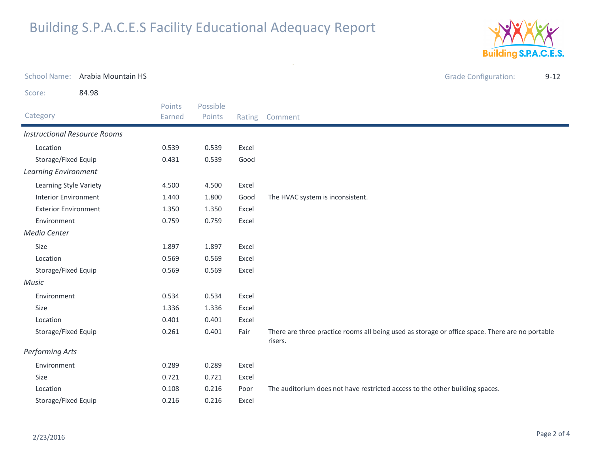

School Name: Arabia Mountain HSGrade Configuration: 9-12 Score: 84.98Category Rating Comment Possible PointsPoints EarnedInstructional Resource RoomsLocation 0.539 0.539 Excel Storage/Fixed Equip 0.431 0.539 Good Learning EnvironmentLearning Style Variety 4.500 4.500 Excel Interior Environment 1.440 1.800 Good The HVAC system is inconsistent. Exterior Environment 1.350 1.350 Excel Environment 0.759 0.759 Excel Media CenterSizee 1.897 1.897 Excel Location 0.569 0.569 Excel Storage/Fixed Equip 0.569 0.569 Excel MusicEnvironment 0.534 0.534 Excel Sizee 1.336 1.336 Excel Location 0.401 0.401 Excel Storage/Fixed EquipFair There are three practice rooms all being used as storage or office space. There are no portable risers. 0.261 $0.401$ Performing ArtsEnvironment 0.289 0.289 Excel Sizee 0.721 0.721 Excel Location0.108 0.216 Poor The auditorium does not have restricted access to the other building spaces. Storage/Fixed Equip0.216 0.216 Excel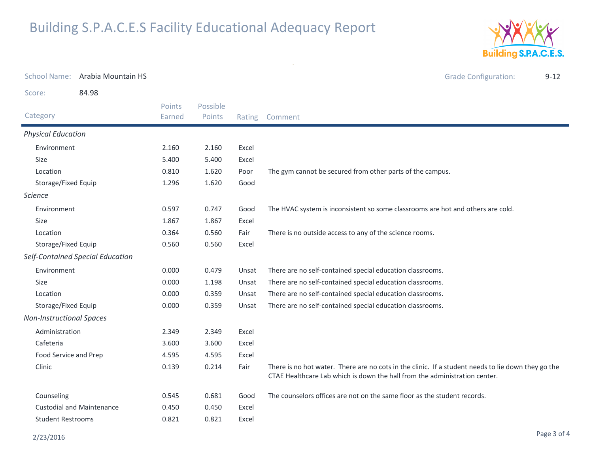

| <b>School Name:</b>             | Arabia Mountain HS               |                         |                    |        | <b>Grade Configuration:</b><br>$9 - 12$                                                                                                                                          |
|---------------------------------|----------------------------------|-------------------------|--------------------|--------|----------------------------------------------------------------------------------------------------------------------------------------------------------------------------------|
| Score:                          | 84.98                            |                         |                    |        |                                                                                                                                                                                  |
| Category                        |                                  | <b>Points</b><br>Earned | Possible<br>Points | Rating | Comment                                                                                                                                                                          |
| <b>Physical Education</b>       |                                  |                         |                    |        |                                                                                                                                                                                  |
| Environment                     |                                  | 2.160                   | 2.160              | Excel  |                                                                                                                                                                                  |
| Size                            |                                  | 5.400                   | 5.400              | Excel  |                                                                                                                                                                                  |
| Location                        |                                  | 0.810                   | 1.620              | Poor   | The gym cannot be secured from other parts of the campus.                                                                                                                        |
| Storage/Fixed Equip             |                                  | 1.296                   | 1.620              | Good   |                                                                                                                                                                                  |
| <b>Science</b>                  |                                  |                         |                    |        |                                                                                                                                                                                  |
| Environment                     |                                  | 0.597                   | 0.747              | Good   | The HVAC system is inconsistent so some classrooms are hot and others are cold.                                                                                                  |
| <b>Size</b>                     |                                  | 1.867                   | 1.867              | Excel  |                                                                                                                                                                                  |
| Location                        |                                  | 0.364                   | 0.560              | Fair   | There is no outside access to any of the science rooms.                                                                                                                          |
| Storage/Fixed Equip             |                                  | 0.560                   | 0.560              | Excel  |                                                                                                                                                                                  |
|                                 | Self-Contained Special Education |                         |                    |        |                                                                                                                                                                                  |
| Environment                     |                                  | 0.000                   | 0.479              | Unsat  | There are no self-contained special education classrooms.                                                                                                                        |
| <b>Size</b>                     |                                  | 0.000                   | 1.198              | Unsat  | There are no self-contained special education classrooms.                                                                                                                        |
| Location                        |                                  | 0.000                   | 0.359              | Unsat  | There are no self-contained special education classrooms.                                                                                                                        |
| Storage/Fixed Equip             |                                  | 0.000                   | 0.359              | Unsat  | There are no self-contained special education classrooms.                                                                                                                        |
| <b>Non-Instructional Spaces</b> |                                  |                         |                    |        |                                                                                                                                                                                  |
| Administration                  |                                  | 2.349                   | 2.349              | Excel  |                                                                                                                                                                                  |
| Cafeteria                       |                                  | 3.600                   | 3.600              | Excel  |                                                                                                                                                                                  |
| Food Service and Prep           |                                  | 4.595                   | 4.595              | Excel  |                                                                                                                                                                                  |
| Clinic                          |                                  | 0.139                   | 0.214              | Fair   | There is no hot water. There are no cots in the clinic. If a student needs to lie down they go the<br>CTAE Healthcare Lab which is down the hall from the administration center. |
| Counseling                      |                                  | 0.545                   | 0.681              | Good   | The counselors offices are not on the same floor as the student records.                                                                                                         |
|                                 | <b>Custodial and Maintenance</b> | 0.450                   | 0.450              | Excel  |                                                                                                                                                                                  |
| <b>Student Restrooms</b>        |                                  | 0.821                   | 0.821              | Excel  |                                                                                                                                                                                  |

 $\sim$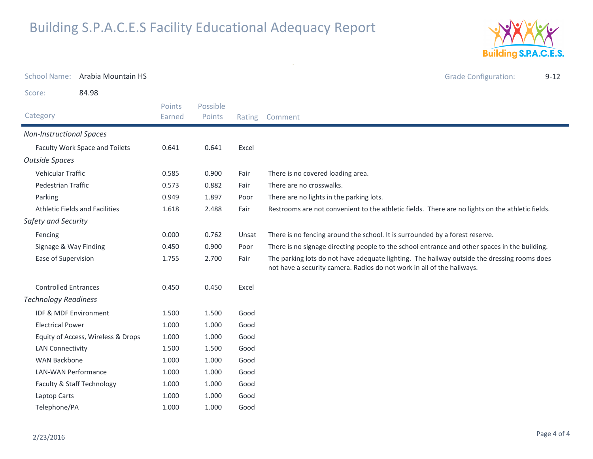

| <b>School Name:</b>                   | Arabia Mountain HS                 |                  |                    |        | <b>Grade Configuration:</b><br>$9 - 12$                                                                                                                               |  |
|---------------------------------------|------------------------------------|------------------|--------------------|--------|-----------------------------------------------------------------------------------------------------------------------------------------------------------------------|--|
| Score:                                | 84.98                              |                  |                    |        |                                                                                                                                                                       |  |
| Category                              |                                    | Points<br>Earned | Possible<br>Points | Rating | Comment                                                                                                                                                               |  |
| <b>Non-Instructional Spaces</b>       |                                    |                  |                    |        |                                                                                                                                                                       |  |
|                                       | Faculty Work Space and Toilets     | 0.641            | 0.641              | Excel  |                                                                                                                                                                       |  |
| <b>Outside Spaces</b>                 |                                    |                  |                    |        |                                                                                                                                                                       |  |
| Vehicular Traffic                     |                                    | 0.585            | 0.900              | Fair   | There is no covered loading area.                                                                                                                                     |  |
| Pedestrian Traffic                    |                                    | 0.573            | 0.882              | Fair   | There are no crosswalks.                                                                                                                                              |  |
| Parking                               |                                    | 0.949            | 1.897              | Poor   | There are no lights in the parking lots.                                                                                                                              |  |
| <b>Athletic Fields and Facilities</b> |                                    | 1.618            | 2.488              | Fair   | Restrooms are not convenient to the athletic fields. There are no lights on the athletic fields.                                                                      |  |
| Safety and Security                   |                                    |                  |                    |        |                                                                                                                                                                       |  |
| Fencing                               |                                    | 0.000            | 0.762              | Unsat  | There is no fencing around the school. It is surrounded by a forest reserve.                                                                                          |  |
| Signage & Way Finding                 |                                    | 0.450            | 0.900              | Poor   | There is no signage directing people to the school entrance and other spaces in the building.                                                                         |  |
| Ease of Supervision                   |                                    | 1.755            | 2.700              | Fair   | The parking lots do not have adequate lighting. The hallway outside the dressing rooms does<br>not have a security camera. Radios do not work in all of the hallways. |  |
| <b>Controlled Entrances</b>           |                                    | 0.450            | 0.450              | Excel  |                                                                                                                                                                       |  |
| <b>Technology Readiness</b>           |                                    |                  |                    |        |                                                                                                                                                                       |  |
| IDF & MDF Environment                 |                                    | 1.500            | 1.500              | Good   |                                                                                                                                                                       |  |
| <b>Electrical Power</b>               |                                    | 1.000            | 1.000              | Good   |                                                                                                                                                                       |  |
|                                       | Equity of Access, Wireless & Drops | 1.000            | 1.000              | Good   |                                                                                                                                                                       |  |
| <b>LAN Connectivity</b>               |                                    | 1.500            | 1.500              | Good   |                                                                                                                                                                       |  |
| <b>WAN Backbone</b>                   |                                    | 1.000            | 1.000              | Good   |                                                                                                                                                                       |  |
| LAN-WAN Performance                   |                                    | 1.000            | 1.000              | Good   |                                                                                                                                                                       |  |
| Faculty & Staff Technology            |                                    | 1.000            | 1.000              | Good   |                                                                                                                                                                       |  |
| Laptop Carts                          |                                    | 1.000            | 1.000              | Good   |                                                                                                                                                                       |  |
| Telephone/PA                          |                                    | 1.000            | 1.000              | Good   |                                                                                                                                                                       |  |

 $\sim$